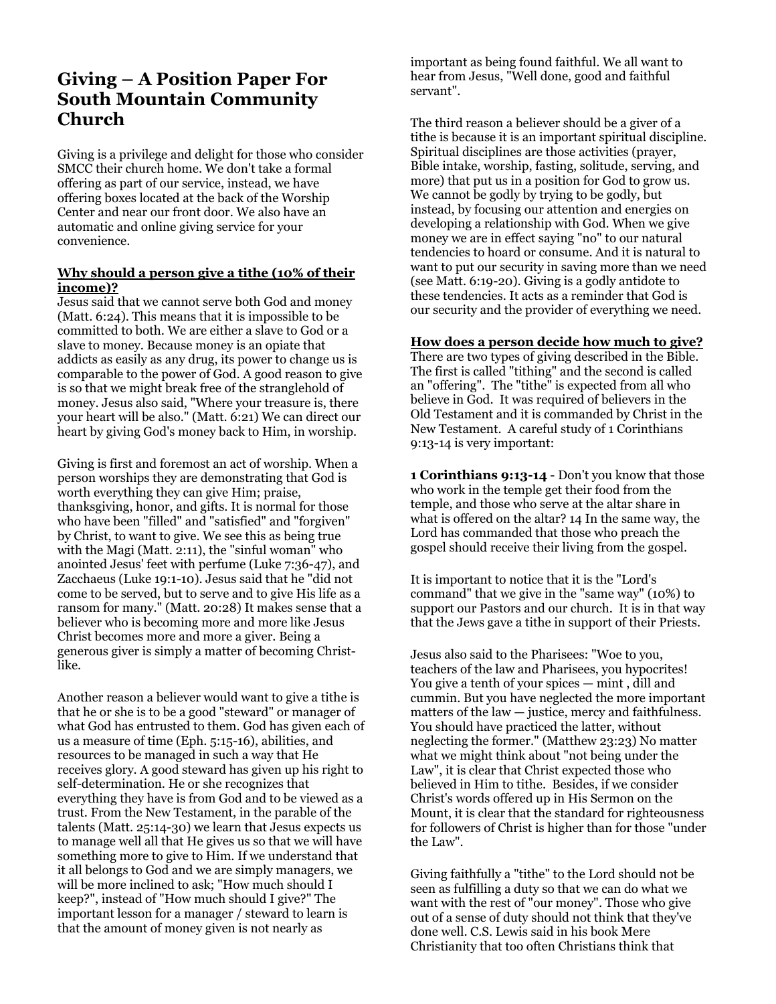## **Giving – A Position Paper For South Mountain Community Church**

Giving is a privilege and delight for those who consider SMCC their church home. We don't take a formal offering as part of our service, instead, we have offering boxes located at the back of the Worship Center and near our front door. We also have an automatic and online giving service for your convenience.

## **Why should a person give a tithe (10% of their income)?**

Jesus said that we cannot serve both God and money (Matt. 6:24). This means that it is impossible to be committed to both. We are either a slave to God or a slave to money. Because money is an opiate that addicts as easily as any drug, its power to change us is comparable to the power of God. A good reason to give is so that we might break free of the stranglehold of money. Jesus also said, "Where your treasure is, there your heart will be also." (Matt. 6:21) We can direct our heart by giving God's money back to Him, in worship.

Giving is first and foremost an act of worship. When a person worships they are demonstrating that God is worth everything they can give Him; praise, thanksgiving, honor, and gifts. It is normal for those who have been "filled" and "satisfied" and "forgiven" by Christ, to want to give. We see this as being true with the Magi (Matt. 2:11), the "sinful woman" who anointed Jesus' feet with perfume (Luke 7:36-47), and Zacchaeus (Luke 19:1-10). Jesus said that he "did not come to be served, but to serve and to give His life as a ransom for many." (Matt. 20:28) It makes sense that a believer who is becoming more and more like Jesus Christ becomes more and more a giver. Being a generous giver is simply a matter of becoming Christlike.

Another reason a believer would want to give a tithe is that he or she is to be a good "steward" or manager of what God has entrusted to them. God has given each of us a measure of time (Eph. 5:15-16), abilities, and resources to be managed in such a way that He receives glory. A good steward has given up his right to self-determination. He or she recognizes that everything they have is from God and to be viewed as a trust. From the New Testament, in the parable of the talents (Matt. 25:14-30) we learn that Jesus expects us to manage well all that He gives us so that we will have something more to give to Him. If we understand that it all belongs to God and we are simply managers, we will be more inclined to ask; "How much should I keep?", instead of "How much should I give?" The important lesson for a manager / steward to learn is that the amount of money given is not nearly as

important as being found faithful. We all want to hear from Jesus, "Well done, good and faithful servant".

The third reason a believer should be a giver of a tithe is because it is an important spiritual discipline. Spiritual disciplines are those activities (prayer, Bible intake, worship, fasting, solitude, serving, and more) that put us in a position for God to grow us. We cannot be godly by trying to be godly, but instead, by focusing our attention and energies on developing a relationship with God. When we give money we are in effect saying "no" to our natural tendencies to hoard or consume. And it is natural to want to put our security in saving more than we need (see Matt. 6:19-20). Giving is a godly antidote to these tendencies. It acts as a reminder that God is our security and the provider of everything we need.

## **How does a person decide how much to give?**

There are two types of giving described in the Bible. The first is called "tithing" and the second is called an "offering". The "tithe" is expected from all who believe in God. It was required of believers in the Old Testament and it is commanded by Christ in the New Testament. A careful study of 1 Corinthians 9:13-14 is very important:

**1 Corinthians 9:13-14** - Don't you know that those who work in the temple get their food from the temple, and those who serve at the altar share in what is offered on the altar? 14 In the same way, the Lord has commanded that those who preach the gospel should receive their living from the gospel.

It is important to notice that it is the "Lord's command" that we give in the "same way" (10%) to support our Pastors and our church. It is in that way that the Jews gave a tithe in support of their Priests.

Jesus also said to the Pharisees: "Woe to you, teachers of the law and Pharisees, you hypocrites! You give a tenth of your spices — mint , dill and cummin. But you have neglected the more important matters of the law — justice, mercy and faithfulness. You should have practiced the latter, without neglecting the former." (Matthew 23:23) No matter what we might think about "not being under the Law", it is clear that Christ expected those who believed in Him to tithe. Besides, if we consider Christ's words offered up in His Sermon on the Mount, it is clear that the standard for righteousness for followers of Christ is higher than for those "under the Law".

Giving faithfully a "tithe" to the Lord should not be seen as fulfilling a duty so that we can do what we want with the rest of "our money". Those who give out of a sense of duty should not think that they've done well. C.S. Lewis said in his book Mere Christianity that too often Christians think that